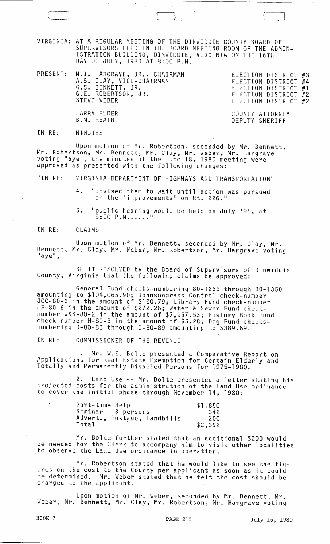VIRGINIA: AT A REGULAR MEETING OF THE DINWIDDIE COUNTY BOARD OF SUPERVISORS HELD IN THE BOARD MEETING ROOM OF THE ADMIN-ISTRATION BUILDING, DINWIDDIE, VIRGINIA ON THE 16TH DAY OF JULY, 1980 AT 8:00 P.M.

\.

| PRESENT: M.I. HARGRAVE, JR., CHAIRMAN<br>A.S. CLAY, VICE-CHAIRMAN<br>G.S. BENNETT, JR.<br>G.E. ROBERTSON, JR.<br>STEVE WEBER | ELECTION DISTRICT #3<br>ELECTION DISTRICT #4<br>ELECTION DISTRICT #1<br>ELECTION DISTRICT #2<br>ELECTION DISTRICT #2 |
|------------------------------------------------------------------------------------------------------------------------------|----------------------------------------------------------------------------------------------------------------------|
| LARRY ELDER<br>B.M. HEATH                                                                                                    | COUNTY ATTORNEY<br>DEPUTY SHERIFF                                                                                    |

IN RE: MINUTES

Upon motion of Mr. Robertson, seconded by Mr. Bennett, Mr. Robertson, Mr. Bennett, Mr. Clay, Mr. Weber, Mr. Hargrave voting "aye", the minutes of the June 18, 1980 meeting were approved as presented with the following changes:

"IN RE: VIRGINIA DEPARTMENT OF HIGHWAYS AND TRANSPORTATION"

> 4. "advised them to wait until action was pursued advised them to wait antifudefon

5. "public hearing would be held on July '9', at  $8:00$   $P.M.$ .....

IN RE: CLAIMS

Upon motion of Mr. Bennett, seconded by Mr. Clay, Mr. Bennett, Mr. Clay, Mr. Weber, Mr. Robertson, Mr. Hargrave voting<br>"aye",

BE IT RESOLVED by the Board of Supervisors of Dinwiddie County, Virginia that the following claims be approved:

General Fund checks-numbering 80-1255 through 80-1350 amounting to \$104,065.90; Johnsongrass Control check-number JGC-80-6 in the amount of \$120.79; Library Fund check-number LF-80-6 in the amount of \$272.26; Water & Sewer Fund checknumber W&S-80-2 in the amount of \$7,957.53; History Book Fund check-number H-80-3 in the amount of \$5.28; Dog Fund checksnumbering D-80-86 through D-80-89 amounting to \$389.69.

IN RE: COMMISSIONER OF THE REVENUE

1. Mr. W.E. Bolte presented a Comparative Report on Applications for Real Estate Exemption for Certain Elderly and Totally and Permanently Disabled Persons for 1975-1980.

2. Land Use -- Mr. Bolte presented a letter stating his projected costs for the administration of the Land Use ordinance to cover the initial phase through November 14, 1980:

| Part-time Help              | \$1,850 |
|-----------------------------|---------|
| Seminar - 3 persons         | 342     |
| Advert., Postage, Handbills | 200     |
| Total                       | \$2,392 |

Mr. Bolte further stated that an additional \$200 would be needed for the Clerk to accompany him to visit other localities to observe the Land Use ordinance in operation.

Mr. Robertson stated that he would like to see the figures on the cost to the County per applicant as soon as it could be determined. Mr. Weber stated that he felt the cost should be charged to the applicant.

Upon motion of Mr. Weber, seconded by Mr. Bennett, Mr. Weber, Mr. Bennett, Mr. Clay, Mr. Robertson, Mr. Hargrave voting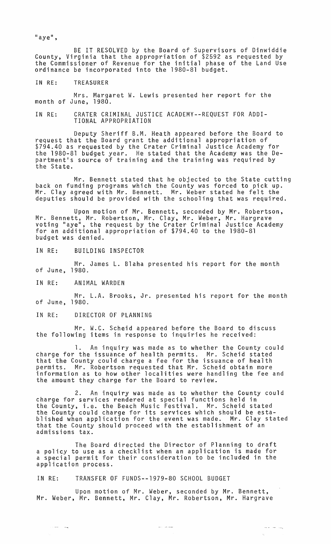$"$ aye",

BE IT RESOLVED by the Board of Supervisors of Dinwiddie County, Virginia that the appropriation of \$2592 as requested by the Commissioner of Revenue for the initial phase of the Land Use ordinance be incorporated into the 1980-81 budget.

IN RE: TREASURER

Mrs. Margaret W. Lewis presented her report for the month of June, 1980.

IN RE: CRATER CRIMINAL JUSTICE ACADEMY--REQUEST FOR ADDI-TIONAL APPROPRIATION

Deputy Sheriff B.M. Heath appeared before the Board to request that the Board grant the additional appropriation of \$794.40 as requested by the Crater Criminal Justice Academy for the 1980-81 budget year. He stated that the Academy was the Department's source of training and the training was required by the State.

Mr. Bennett stated that he objected to the State cutting back on funding programs which the County was forced to pick up. Mr. Clay agreed with Mr. Bennett. Mr. Weber stated he felt the deputies should be provided with the schooling that was required.

Upon motion of Mr. Bennett, seconded by Mr. Robertson, Mr. Bennett, Mr. Robertson, Mr. Clay, Mr. Weber, Mr. Hargrave voting "aye", the request by the Crater Criminal Justice Academy for an additional appropriation of \$794.40 to the 1980-81 budget was denied.

IN RE: BUILDING INSPECTOR

Mr. James L. Blaha presented his report for the month of June, 1980.

IN RE: ANIMAL WARDEN

Mr. L.A. Brooks, Jr. presented his report for the month of June, 1980.

IN RE: DIRECTOR OF PLANNING

Mr. W.C. Scheid appeared before the Board to discuss the following items in response to inquiries he received:

1. An inquiry was made as to whether the County could charge for the issuance of health permits. Mr. Scheid stated that the County could charge a fee for the issuance of health permits. Mr. Robertson requested that Mr. Scheid obtain more information as to how other localities were handling the fee and the amount they charge for the Board to review.

2. An inquiry was made as to whether the County could charge for services rendered at special functions held in the County, i.e. the Beach Music Festival. Mr. Scheid stated the County could charge for its services which should be established when application for the event was made. Mr. Clay stated blished when application for the event was made. Mr. Clay stated<br>that the County should proceed with the establishment of an admissions tax.

The Board directed the Director of Planning to draft a policy to use as a checklist when an application is made for a special permit for their consideration to be included in the application process.

IN RE: TRANSFER OF FUNDS--1979-80 SCHOOL BUDGET

Upon motion of Mr. Weber, seconded by Mr. Bennett, Mr. Weber, Mr. Bennett, Mr. Clay, Mr. Robertson, Mr. Hargrave

بسمانجي أدبتم

 $\bar{\chi}^{\pm}_2$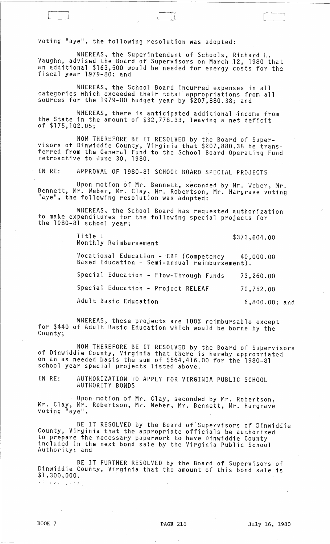voting "aye", the following resolution was adopted:

WHEREAS, the Superintendent of Schools, Richard L. Vaughn, advised the Board of Supervisors on March J2, 1980 that an additional \$163,500 would be needed for energy costs for the fiscal year 1979-80; and

 $\Box$ 

WHEREAS, the School Board incurred expenses in all categories which exceeded their total appropriations from all sources for the 1979-80 budget year by \$207,880.38; and

WHEREAS, there is anticipated additional ·income from the State in the amount of \$32,778.33, leaving a net deficit of \$175,102.05;

NOW THEREFORE BE IT RESOLVED by the Board of Super- visors of Dinwiddie County, Virginia that \$207,880.38 be transferred from the General Fund to the' School Board Operating Fund retroactive to June 30, 1980.

IN RE: APPROVAL OF 1980-81 SCHOOL BOARD SPECIAL PROJECTS

Upon motion of Mr. Bennett, seconded by Mr. Weber, Mr. Bennett, Mr. Weber, Mr. Clay, Mr. Robertson, Mr. Hargrave voting "aye", the following resolution was adopted:

WHEREAS, the School Board has requested authorization to make expenditures for the following special projects for the 1980-81 school year;

> Title I Monthly Reimbursement \$373,604.00 Vocational Education -CBE (Competency 40,000.00 Based Education - Semi-annual reimbursement). Special Education - Flow-Through Funds Special Education - Project RELEAF Adult Basic Education 73,260.00 70,752.00 6,800.00; and

WHEREAS, these projects are 100% reimbursable except for \$440 of Adult Basic Education which would be borne by the County;

NOW THEREFORE BE IT RESOLVED by the Board of Supervisors of Dinwiddie County, Virginia that there is hereby appropriated on an as needed basis the sum of \$564,416.00 for the 1980-81 school year special projects listed above.

IN RE: AUTHORIZATION TO APPLY FOR VIRGINIA PUBLIC SCHOOL AUTHORITY BONDS

Upon motion of Mr. Clay, seconded by Mr. Robertson, Mr. Clay, Mr. Robertson, Mr. Weber, Mr. Bennett, Mr. Hargrave<br>voting "aye",

BE IT RESOLVED by the Board of'Supervisors of Dinwiddie County, Virginia that the appropriate officials be authorized to prepare the necessary paperwork to have Dinwiddie County included in the next bond sale by the Virginia Public School Au thori ty; and

BE IT FURTHER RESOLVED by the Board of Supervisors of Dinwiddie County, Virginia that the amount of this bond sale is \$1,300,000. : .. <sup>~</sup>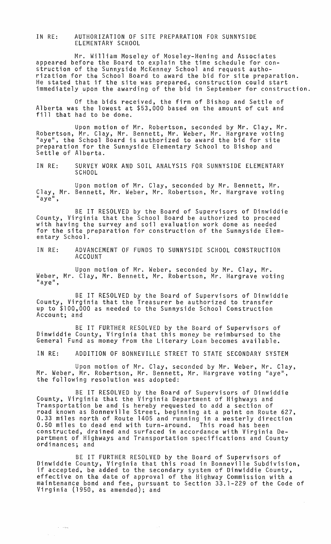IN RE: AUTHORIZATION OF SITE PREPARATION FOR SUNNYSIDE ELEMENTARY SCHOOL

Mr. William Moseley of Moseley-Hening and Associates appeared before the Board to explain the time schedule for construction of the Sunnyside McKenney School and request authorization for the School Board to award the bid for site preparation. He stated that if the site was prepared, construction could start immediately upon the awarding of the bid in September for construction.

Of the bids received, the firm of Bishop and Settle of Alberta was the lowest at \$53,000 based on the amount of cut and fill that had to be done.

Upon motion of Mr. Robertson, seconded by Mr. Clay, Mr. Robertson, Mr. Clay, Mr. Bennett, Mr. Weber, Mr. Hargrave voting liaye", the School Board is authorized to award the bid for site preparation for the Sunnyside Elementary School to Bishop and Settle of Alberta.

IN RE: SURVEY WORK AND SOIL ANALYSIS FOR SUNNYSIDE ELEMENTARY SCHOOL

Upon motion of Mr. Clay, seconded by Mr. Bennett, Mr. Clay, Mr. Bennett, Mr. Weber, Mr. Robertson, Mr. Hargrave voting<br>"aye",

BE IT RESOLVED by the Board of Supervisors of Dinwiddie<br>County, Virginia that the School Board be authorized to proceed with having the survey and soil evaluation work done as needed for the site preparation for construction of the Sunnyside Elementary School.

IN RE: ADVANCEMENT OF FUNDS TO SUNNYSIDE SCHOOL CONSTRUCTION ACCOUNT

Upon motion of Mr. Weber, seconded by Mr. Clay, Mr. Weber, Mr. Clay, Mr. Bennett, Mr. Robertson, Mr. Hargrave voting "aye",

BE IT RESOLVED by the Board of Supervisors of Dinwiddie County, Virginia that the Treasurer be authorized to transfer up to \$100,000 as needed to the Sunnyside School Construction Account; and

BE IT FURTHER RESOLVED by the Board of Supervisors of Dinwiddie County, Virginia that this money be reimbursed to the General Fund as money from the Literary Loan becomes available.

IN RE: ADDITION OF BONNEVILLE STREET TO STATE SECONDARY SYSTEM

Upon motion of Mr. Clay, seconded by Mr. Weber, Mr. Clay, Mr. Weber, Mr. Robertson, Mr. Bennett, Mr. Hargrave voting "aye", the following resolution was adopted:

BE IT RESOLVED by the Board of Supervisors of Dinwiddie County, Virginia that the Virginia Department of Highways and Transportation be and is hereby requested to add a section of road known as Bonneville Street, beginning at a point on Route 627, 0.33 miles north of Route 1405 and running in a westerly direction 0.50 miles to dead end with turn-around. This road has been constructed, drained and surfaced in accordance with Virginia Department of Highways and Transportation specifications and County ordinances; and

BE IT FURTHER RESOLVED by the Board of Supervisors of Dinwiddie County, Virginia that this road in Bonneville Subdivision, if accepted, be added to the secondary system of Dinwiddie County, effective on the date of approval of the Highway Commission with a maintenance bond and fee, pursuant to Section 33.1-229 of the Code of Virginia (1950, as amended); and

 $\sim$ 

ولوساء

 $\zeta_{\rm{max}}$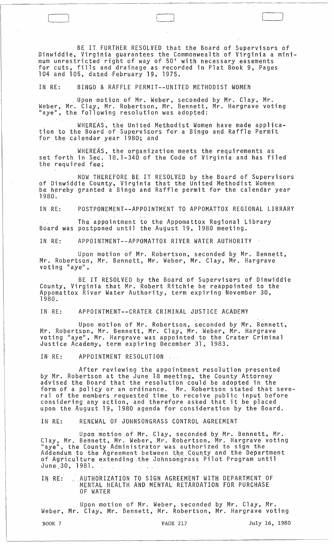BE IT FURTHER RESOLVED that the Board of Supervisors of Dinwiddie,Virginia guarantees the Commonwealth of Virginia a minimum unrestricted right of way of 50' with necessary easements for cuts, fills and drainage as recorded in Plat Book 9, Pages 104 and 105, dated February 19, 1975.

IN RE: BINGO & RAFFLE PERMIT--UNITED METHODIST 'WOMEN

 $\Box$ 

. Upon motion of Mr. Weber, seconded by Mr. Clay, Mr. Weber, Mr. Clay, Mr. Robertson, Mr. Bennett, Mr. Hargrave voting<br>"aye", the following resolution was adopted:

WHEREAS, the United Methodist Women have made applica-<br>tion to the Board of Supervisors for a Bingo and Raffle Permit for the calendar year 1980; and

WHEREAs, the organization meets the requirements as set forth in Sec. 18.1-340 of the Code of Virginia and has filed the required fee;

NOW THEREFORE BE IT RESOLVED by the Board of Supervisors of Dinwiddie County, Virginia that the United Methodist Women be hereby granted a Bingo and Raffle permit for the calendar year<br>1980.

IN RE: POSTPONEMENT--APPOINTMENT TO APPOMATTOX REGIONAL LIBRARY

The'appointment to the Appomattox Regional Library Board was postponed until the August 19, 1980 meeting.

IN RE: APPOINTMENT--APPOMATTOX RIVER WATER AUTHORITY

Upon motion of Mr. Robertson, seconded by Mr. Bennett, Mr. Robertson, Mr. Bennett, Mr. Weber, Mr. Clay, Mr. Hargrave voting "aye",

BE IT RESOLVED by the Board of Supervisors of Dinwiddie County, Virginia that Mr. Robert Ritchie be reappointed to the Appomattox River Water Authority, term expiring November 30, 1980.

IN RE: APPOINTMENT--CRATER CRIMINAL JUSTICE ACADEMY

Upon motion of Mr. Robertson, seconded by Mr. Bennett, Mr. Robertson, Mr. Bennett, Mr. Clay, Mr. Weber, Mr. Hargrave<br>voting "aye", Mr. Hargrave was appointed to the Crater Criminal Justice Academy, term expiring December 31, 1983.

IN RE: APPOINTMENT RESOLUTION

After reviewing the appointment resolution presented by Mr. Robertson at the June 18 meeting, the County Attorney advised the Board that the resolution'could be adopted in the form of a policy or an ordinance. Mr. Robertson stated that several of the members requested time to receive public input before considering any action, and therefore asked that it be placed upon the August 19, 1980 agenda for consideration by the Board.

IN RE: RENEWAL OF JOHNSONGRASS CONTROL AGREEMENT

Upon motion of Mr. Clay, seconded by Mr. Bennett, Mr. Clay, Mr. Bennett, Mr. Weber, Mr. Robertson, Mr. Hargrave voting<br>"aye", the County Administrator was authorized to sign the Addendum to the Agreement between the County and the Department<br>of Agriculture extending the Johnsongrass Pilot Program until nddenddm to the Agreement Between the<br>of Agriculture extending the Johnson<br>June 30, 1981.

IN RE: ... AUTHORIZATION TO SIGN AGREEMENT WITH DEPARTMENT OF MENTAL HEALTH AND MENTAL RETARDATION FOR PURCHASE OF WATER

Upon motion of Mr. Weber, seconded by Mr. Clay, Mr. Weber, Mr. Clay, Mr. Bennett, Mr. Robertson, Mr. Hargrave voting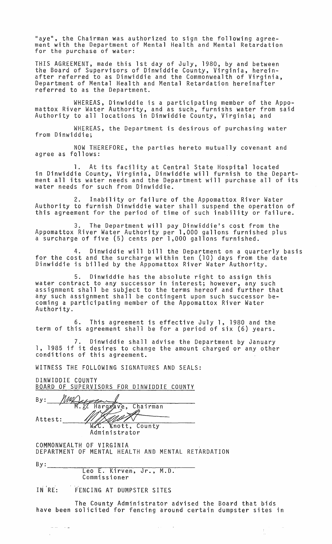"aye", the Chairman was authorized to sign the following agreement with the Department of Mental Health and Mental Retardation for the purchase of water:

THIS AGREEMENT, made this 1st day of July, 1980, by and between the Board of Supervisors of Dinwiddie County, Virginia, hereinafter referred to as Dinwiddie and the Commonwealth of Virginia, Department of Mental Health and Mental Retardation hereinafter referred to as the Department.

WHEREAS, Dinwiddie is a participating member of the Appomattox River Water Authority, and as such, furnishs water from said Authority to all locations in Dinwiddie County, Virginia; and

WHEREAS, the Department is desirous of purchasing water from Dinwiddie;

NOW THEREFORE, the parties hereto mutually covenant and agree as fOllows:

1. At its facility at Central State Hospital located in Dinwiddie County, Virginia, Dinwiddie will furnish to the Department all its water needs and the Department will purchase all of its water needs for such from Dinwiddie.

2. Inability or failure of the Appomattox River Water Authority to furnish Dinwiddie water shall suspend the operation of this agreement for the period of time of such inability or failure.

3. The Department will pay Dinwiddie's cost from the Appomattox River Water Authority per 1,000 gallons furnished plus a surcharge of five (5) cents per 1,000 gallons furnished.

4. Dinwiddie will bill the Department on a quarterly basis for the cost and the surcharge within ten (10) days from the date Dinwiddie is billed by the Appomattox River Water Authority.

5. Dinwiddie has the absolute right to assign this water contract to any successor in interest; however, any such assignment shall be subject to the terms hereof and further that any such assignment shall be contingent upon such successor becoming a participating member of the Appomattox River Water Authority.

6. This agreement is effective July 1, 1980 and the term of this agreement shall be for a period of six (6) years.

7. Dinwiddie shall advise the Department by January 1, 1985 if it desires to change the amount charged or any other conditions of this agreement.

WITNESS THE FOLLOWING SIGNATURES AND SEALS:

DINWIDDIE COUNTY BOARD OF SUPERVISORS FOR DINWIDDIE COUNTY WITNESS THE FOLLOWING SIGNATURES AND<br>DINWIDDIE COUNTY<br>BOARD OF SUPERVISORS FOR DINWIDDIE CO<br>By: *MAQ COUNTY* Hargyave, Chairman Attest: 1/:.~~ v \_

Administrator

COMMONWEALTH OF VIRGINIA DEPARTMENT OF MENTAL HEALTH AND MENTAL RETARDATION

 $\frac{1}{2} \left( \frac{1}{2} \right) \left( \frac{1}{2} \right) \left( \frac{1}{2} \right) \left( \frac{1}{2} \right) \left( \frac{1}{2} \right) \left( \frac{1}{2} \right)$ 

By: --------~--~~~----~--~~------ Leo E. Kirven, Jr., M.D. Comm i.ss i 0 ner

IN RE: FENCING AT DUMPSTER SITES

The County Administrator advised the Board that bids have been solicited for fencing around certain dumpster sites in

 $\gamma_{\rm{max}}$ 

 $\sim$   $\omega_{\rm s}$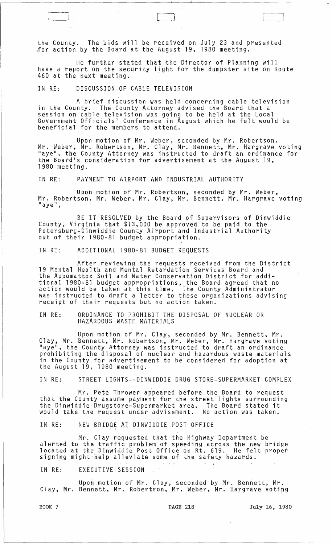the County. The bids will be received on July 23 and presented Jor action by the Board at the August 19, 1980 meeting.

He further stated that the Director of Planning will have a report on the security light for the dumpster site on Route 460 at the next meeting.

IN RE: DISCUSSION OF CABLE TELEVISION

 $\begin{pmatrix} 1 & 1 \\ 1 & 1 \end{pmatrix}$ 

A brief discussion was held concerning cable television in the County. The County Attorney advised the Board that a session on cable television was going to be held at the Local Government Officials' Conference in August which he felt would be beneficial for the members to attend.

Upon motion of Mr. Weber, seconded by Mr. Robertson, Mr. Weber, Mr. Robertson, Mr. Clay, Mr. Bennett, Mr. Hargrave voting "aye", the County Attorney was instructed to draft an ordinance for the Board's consideration for advertisement at the August 19, 1980 meeting.

IN RE: PAYMENT TO AIRPORT AND INDUSTRIAL AUTHORITY

Upon motion of Mr. Robertson, seconded by Mr. Weber, Mr. Robertson, Mr. Weber, Mr. Clay, Mr. Bennett, Mr. Hargrave voting<br>"aye",

BE IT RESOLVED by the Board of Supervisors of Dinwiddie County, Virginia that \$13,000 be approved to be paid to the Petersburg-Dinwiddie County Airport and Industrial Authority out of their 1980-81 budget appropriation.

IN RE: ADDITIONAL 1980-81 BUDGET REQUESTS

After reviewing the requests received from the District 19 Mental Health and Mental Retardation Services Board and the Appomattox Soil and Water Conservation District for additional 1980-81 budget appropriations, the Board agreed that no action would be taken at this time. The County Administrator eroman issue is a serve and this time. The County Administrator<br>was instructed to draft a letter to these organizations advising<br>receipt of their requests but no action taken.

IN RE: ORDINANCE TO PROHIBIT THE DISPOSAL OF NUCLEAR OR HAZARDOUS WASTE MATERIALS

Upon motion of Mr. Clay, seconded by Mr. Bennett, Mr. Clay, Mr. Bennett, Mr. Robertson, Mr. Weber, Mr. Hargrave voting "aye", the County Attorney was instructed to draft an ordinance prohibiting the disposal of nuclear and hazardous waste materials in the County for advertisement to be considered for adoption at the August 19, 1980 meeting.

IN RE: STREET LIGHTS--DINWIDDIE DRUG STORE-SUPERMARKET COMPLEX

Mr. Pete Thrower appeared before the Board to request that the County assume payment for the street lights surrounding the Dinwiddie Drugstore-Supermarket area. The Board stated it would take the request under advisement. No action was taken.

IN RE: NEW BRIDGE AT DINWIDDIE POST OFFICE

Mr. Clay requested that the Highway Department be alerted to the traffic problem of speeding across the new bridge located at the Dinwiddie Post Office on Rt. 619. He felt proper signing might help alleviata some of the safety hazards.

IN RE: EXECUTIVE SESSION

Upon motion of Mr. Clay, seconded by Mr. Bennett, Mr. Clay, Mr. Bennett, Mr. Robertson, Mr. Weber, Mr. Hargrave voting

BOOK 7 **PAGE 218** July 16, 1980